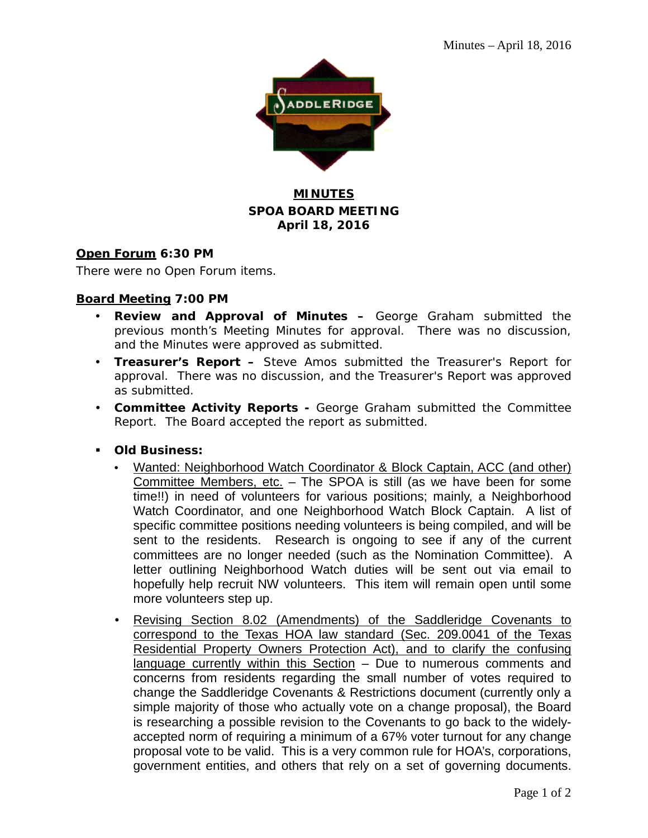

## **MINUTES SPOA BOARD MEETING April 18, 2016**

#### **Open Forum 6:30 PM**

There were no Open Forum items.

#### **Board Meeting 7:00 PM**

- **Review and Approval of Minutes –** George Graham submitted the previous month's Meeting Minutes for approval. There was no discussion, and the Minutes were approved as submitted.
- **Treasurer's Report –** Steve Amos submitted the Treasurer's Report for approval. There was no discussion, and the Treasurer's Report was approved as submitted.
- **Committee Activity Reports -** George Graham submitted the Committee Report. The Board accepted the report as submitted.
- **Old Business:**
	- Wanted: Neighborhood Watch Coordinator & Block Captain, ACC (and other) Committee Members, etc. – The SPOA is still (as we have been for some time!!) in need of volunteers for various positions; mainly, a Neighborhood Watch Coordinator, and one Neighborhood Watch Block Captain. A list of specific committee positions needing volunteers is being compiled, and will be sent to the residents. Research is ongoing to see if any of the current committees are no longer needed (such as the Nomination Committee). A letter outlining Neighborhood Watch duties will be sent out via email to hopefully help recruit NW volunteers. This item will remain open until some more volunteers step up.
	- Revising Section 8.02 (Amendments) of the Saddleridge Covenants to correspond to the Texas HOA law standard (Sec. 209.0041 of the Texas Residential Property Owners Protection Act), and to clarify the confusing language currently within this Section - Due to numerous comments and concerns from residents regarding the small number of votes required to change the Saddleridge Covenants & Restrictions document (currently only a simple majority of those who actually vote on a change proposal), the Board is researching a possible revision to the Covenants to go back to the widelyaccepted norm of requiring a minimum of a 67% voter turnout for any change proposal vote to be valid. This is a very common rule for HOA's, corporations, government entities, and others that rely on a set of governing documents.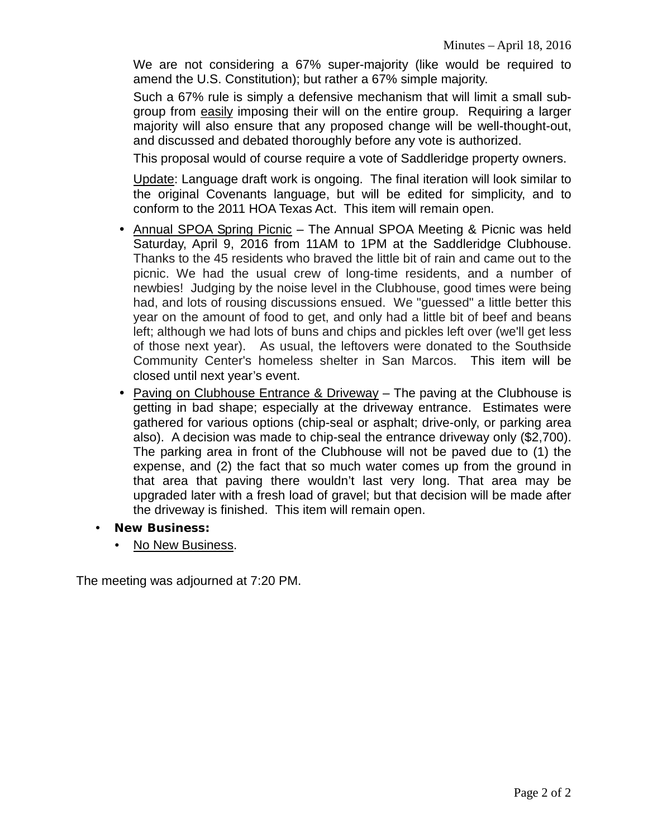We are not considering a 67% super-majority (like would be required to amend the U.S. Constitution); but rather a 67% simple majority.

Such a 67% rule is simply a defensive mechanism that will limit a small subgroup from easily imposing their will on the entire group. Requiring a larger majority will also ensure that any proposed change will be well-thought-out, and discussed and debated thoroughly before any vote is authorized.

This proposal would of course require a vote of Saddleridge property owners.

Update: Language draft work is ongoing. The final iteration will look similar to the original Covenants language, but will be edited for simplicity, and to conform to the 2011 HOA Texas Act. This item will remain open.

- Annual SPOA Spring Picnic The Annual SPOA Meeting & Picnic was held Saturday, April 9, 2016 from 11AM to 1PM at the Saddleridge Clubhouse. Thanks to the 45 residents who braved the little bit of rain and came out to the picnic. We had the usual crew of long-time residents, and a number of newbies! Judging by the noise level in the Clubhouse, good times were being had, and lots of rousing discussions ensued. We "guessed" a little better this year on the amount of food to get, and only had a little bit of beef and beans left; although we had lots of buns and chips and pickles left over (we'll get less of those next year). As usual, the leftovers were donated to the Southside Community Center's homeless shelter in San Marcos. This item will be closed until next year's event.
- Paving on Clubhouse Entrance & Driveway The paving at the Clubhouse is getting in bad shape; especially at the driveway entrance. Estimates were gathered for various options (chip-seal or asphalt; drive-only, or parking area also). A decision was made to chip-seal the entrance driveway only (\$2,700). The parking area in front of the Clubhouse will not be paved due to (1) the expense, and (2) the fact that so much water comes up from the ground in that area that paving there wouldn't last very long. That area may be upgraded later with a fresh load of gravel; but that decision will be made after the driveway is finished. This item will remain open.
- **New Business:**
	- No New Business.

The meeting was adjourned at 7:20 PM.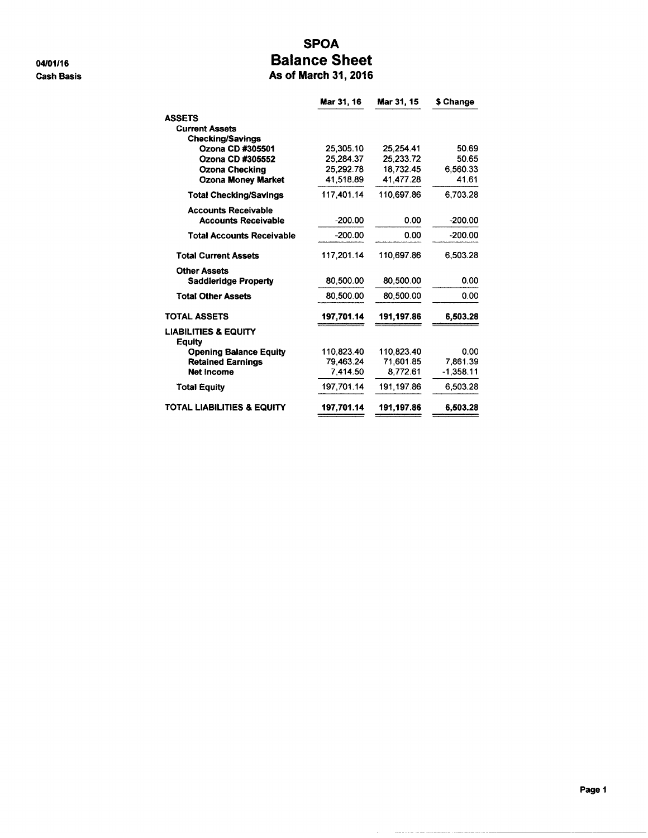04/01/16 **Cash Basis** 

### **SPOA Balance Sheet** As of March 31, 2016

|                                           | Mar 31, 16 | Mar 31, 15 | \$ Change   |
|-------------------------------------------|------------|------------|-------------|
| <b>ASSETS</b>                             |            |            |             |
| <b>Current Assets</b>                     |            |            |             |
| <b>Checking/Savings</b>                   |            |            |             |
| Ozona CD #305501                          | 25,305.10  | 25.254.41  | 50.69       |
| Ozona CD #305552                          | 25.284.37  | 25.233.72  | 50.65       |
| <b>Ozona Checking</b>                     | 25,292.78  | 18,732.45  | 6,560.33    |
| <b>Ozona Money Market</b>                 | 41,518.89  | 41,477.28  | 41.61       |
| <b>Total Checking/Savings</b>             | 117.401.14 | 110.697.86 | 6.703.28    |
| <b>Accounts Receivable</b>                |            |            |             |
| <b>Accounts Receivable</b>                | $-200.00$  | 0.00       | $-200.00$   |
| <b>Total Accounts Receivable</b>          | $-200.00$  | 0.00       | $-200.00$   |
| <b>Total Current Assets</b>               | 117.201.14 | 110,697.86 | 6.503.28    |
| <b>Other Assets</b>                       |            |            |             |
| <b>Saddleridge Property</b>               | 80.500.00  | 80,500.00  | 0.00        |
| <b>Total Other Assets</b>                 | 80.500.00  | 80.500.00  | 0.00        |
| <b>TOTAL ASSETS</b>                       | 197.701.14 | 191.197.86 | 6,503.28    |
| <b>LIABILITIES &amp; EQUITY</b><br>Equity |            |            |             |
| <b>Opening Balance Equity</b>             | 110.823.40 | 110.823.40 | 0.00        |
| <b>Retained Earnings</b>                  | 79.463.24  | 71.601.85  | 7.861.39    |
| Net income                                | 7,414.50   | 8.772.61   | $-1,358.11$ |
| <b>Total Equity</b>                       | 197.701.14 | 191.197.86 | 6.503.28    |
| TOTAL LIABILITIES & EQUITY                | 197.701.14 | 191,197.86 | 6,503.28    |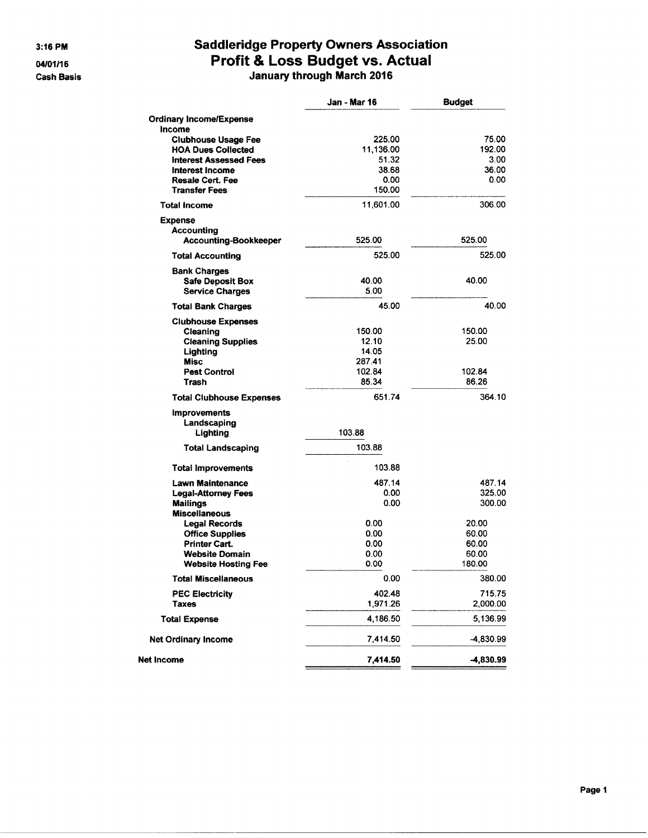3:16 PM

04/01/16 **Cash Basis** 

# **Saddleridge Property Owners Association** Profit & Loss Budget vs. Actual<br>January through March 2016

|                                               | Jan - Mar 16   | <b>Budget</b>   |
|-----------------------------------------------|----------------|-----------------|
| <b>Ordinary Income/Expense</b>                |                |                 |
| Income                                        |                |                 |
| <b>Clubhouse Usage Fee</b>                    | 225.00         | 75.00           |
| <b>HOA Dues Collected</b>                     | 11,136.00      | 192.00          |
| <b>Interest Assessed Fees</b>                 | 51.32          | 3.00<br>36.00   |
| Interest Income<br><b>Resale Cert. Fee</b>    | 38.68<br>0.00  | 0.00            |
| <b>Transfer Fees</b>                          | 150.00         |                 |
| <b>Total Income</b>                           | 11,601.00      | 306.00          |
| <b>Expense</b>                                |                |                 |
| <b>Accounting</b>                             |                |                 |
| <b>Accounting-Bookkeeper</b>                  | 525.00         | 525.00          |
| <b>Total Accounting</b>                       | 525.00         | 525.00          |
| <b>Bank Charges</b>                           |                |                 |
| <b>Safe Deposit Box</b>                       | 40.00          | 40.00           |
| <b>Service Charges</b>                        | 5.00           |                 |
| <b>Total Bank Charges</b>                     | 45.00          | 40.00           |
| <b>Clubhouse Expenses</b>                     |                |                 |
| Cleaning                                      | 150.00         | 150.00          |
| <b>Cleaning Supplies</b>                      | 12.10<br>14.05 | 25.00           |
| Lighting<br><b>Misc</b>                       | 287.41         |                 |
| <b>Pest Control</b>                           | 102.84         | 102.84          |
| Trash                                         | 85.34          | 86.26           |
| <b>Total Clubhouse Expenses</b>               | 651.74         | 364.10          |
| <b>Improvements</b>                           |                |                 |
| Landscaping                                   |                |                 |
| Lighting                                      | 103.88         |                 |
| <b>Total Landscaping</b>                      | 103.88         |                 |
| <b>Total Improvements</b>                     | 103.88         |                 |
| Lawn Maintenance                              | 487.14         | 487.14          |
| <b>Legal-Attorney Fees</b>                    | 0.00           | 325.00          |
| <b>Mailings</b>                               | 0.00           | 300.00          |
| Miscellaneous                                 |                |                 |
| <b>Legal Records</b>                          | 0.00           | 20.00           |
| <b>Office Supplies</b>                        | 0.00           | 60.00           |
| <b>Printer Cart.</b><br><b>Website Domain</b> | 0.00<br>0.00   | 60.00           |
| <b>Website Hosting Fee</b>                    | 0.00           | 60.00<br>180.00 |
| <b>Total Miscellaneous</b>                    | 0.00           | 380.00          |
| <b>PEC Electricity</b>                        | 402.48         | 715.75          |
| Taxes                                         | 1,971.26       | 2,000.00        |
| <b>Total Expense</b>                          | 4,186.50       | 5,136.99        |
| <b>Net Ordinary Income</b>                    | 7,414.50       | -4,830.99       |
| <b>Net Income</b>                             | 7,414.50       | -4,830.99       |
|                                               |                |                 |